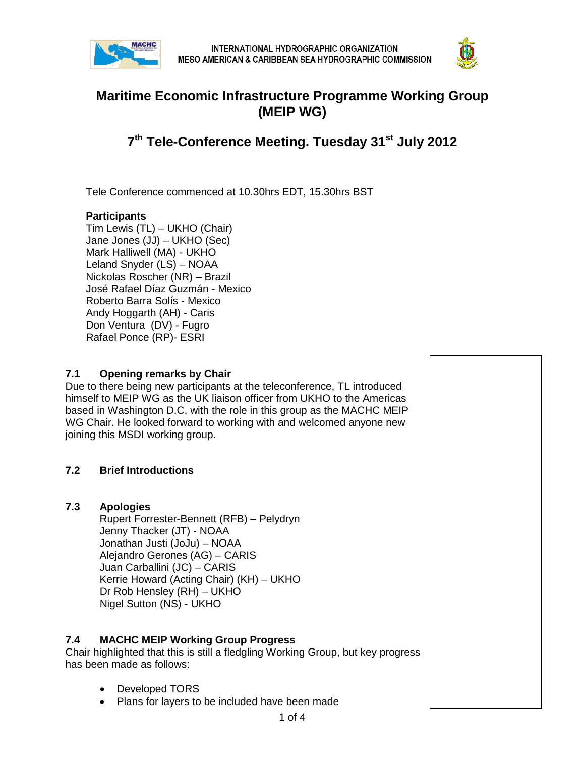



## **Maritime Economic Infrastructure Programme Working Group (MEIP WG)**

# **7th Tele-Conference Meeting. Tuesday 31st July 2012**

Tele Conference commenced at 10.30hrs EDT, 15.30hrs BST

### **Participants**

Tim Lewis (TL) – UKHO (Chair) Jane Jones (JJ) – UKHO (Sec) Mark Halliwell (MA) - UKHO Leland Snyder (LS) – NOAA Nickolas Roscher (NR) – Brazil José Rafael Díaz Guzmán - Mexico Roberto Barra Solís - Mexico Andy Hoggarth (AH) - Caris Don Ventura (DV) - Fugro Rafael Ponce (RP)- ESRI

#### **7.1 Opening remarks by Chair**

Due to there being new participants at the teleconference, TL introduced himself to MEIP WG as the UK liaison officer from UKHO to the Americas based in Washington D.C, with the role in this group as the MACHC MEIP WG Chair. He looked forward to working with and welcomed anyone new joining this MSDI working group.

### **7.2 Brief Introductions**

### **7.3 Apologies**

Rupert Forrester-Bennett (RFB) – Pelydryn Jenny Thacker (JT) - NOAA Jonathan Justi (JoJu) – NOAA Alejandro Gerones (AG) – CARIS Juan Carballini (JC) – CARIS Kerrie Howard (Acting Chair) (KH) – UKHO Dr Rob Hensley (RH) – UKHO Nigel Sutton (NS) - UKHO

### **7.4 MACHC MEIP Working Group Progress**

Chair highlighted that this is still a fledgling Working Group, but key progress has been made as follows:

- Developed TORS
- Plans for layers to be included have been made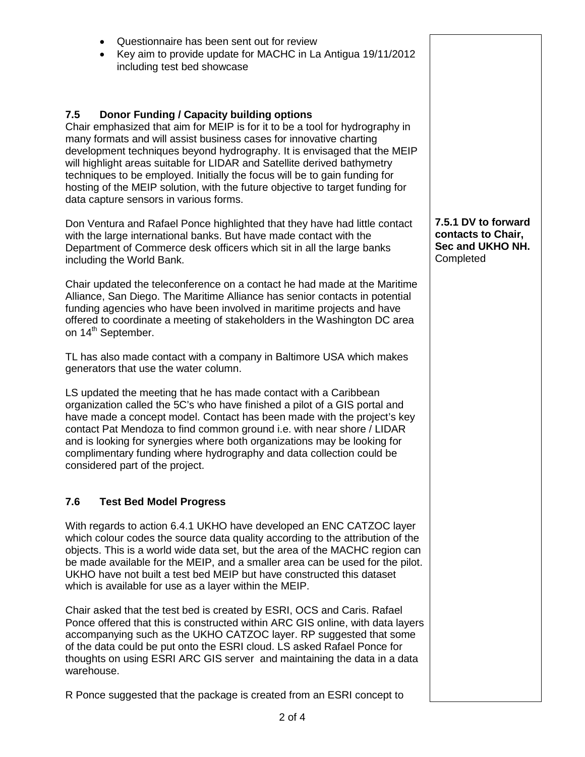• Questionnaire has been sent out for review • Key aim to provide update for MACHC in La Antigua 19/11/2012 including test bed showcase **7.5 Donor Funding / Capacity building options** Chair emphasized that aim for MEIP is for it to be a tool for hydrography in many formats and will assist business cases for innovative charting development techniques beyond hydrography. It is envisaged that the MEIP will highlight areas suitable for LIDAR and Satellite derived bathymetry techniques to be employed. Initially the focus will be to gain funding for hosting of the MEIP solution, with the future objective to target funding for data capture sensors in various forms.

Don Ventura and Rafael Ponce highlighted that they have had little contact with the large international banks. But have made contact with the Department of Commerce desk officers which sit in all the large banks including the World Bank.

Chair updated the teleconference on a contact he had made at the Maritime Alliance, San Diego. The Maritime Alliance has senior contacts in potential funding agencies who have been involved in maritime projects and have offered to coordinate a meeting of stakeholders in the Washington DC area on 14<sup>th</sup> September.

TL has also made contact with a company in Baltimore USA which makes generators that use the water column.

LS updated the meeting that he has made contact with a Caribbean organization called the 5C's who have finished a pilot of a GIS portal and have made a concept model. Contact has been made with the project's key contact Pat Mendoza to find common ground i.e. with near shore / LIDAR and is looking for synergies where both organizations may be looking for complimentary funding where hydrography and data collection could be considered part of the project.

### **7.6 Test Bed Model Progress**

With regards to action 6.4.1 UKHO have developed an ENC CATZOC layer which colour codes the source data quality according to the attribution of the objects. This is a world wide data set, but the area of the MACHC region can be made available for the MEIP, and a smaller area can be used for the pilot. UKHO have not built a test bed MEIP but have constructed this dataset which is available for use as a layer within the MEIP.

Chair asked that the test bed is created by ESRI, OCS and Caris. Rafael Ponce offered that this is constructed within ARC GIS online, with data layers accompanying such as the UKHO CATZOC layer. RP suggested that some of the data could be put onto the ESRI cloud. LS asked Rafael Ponce for thoughts on using ESRI ARC GIS server and maintaining the data in a data warehouse.

R Ponce suggested that the package is created from an ESRI concept to

**7.5.1 DV to forward contacts to Chair, Sec and UKHO NH. Completed**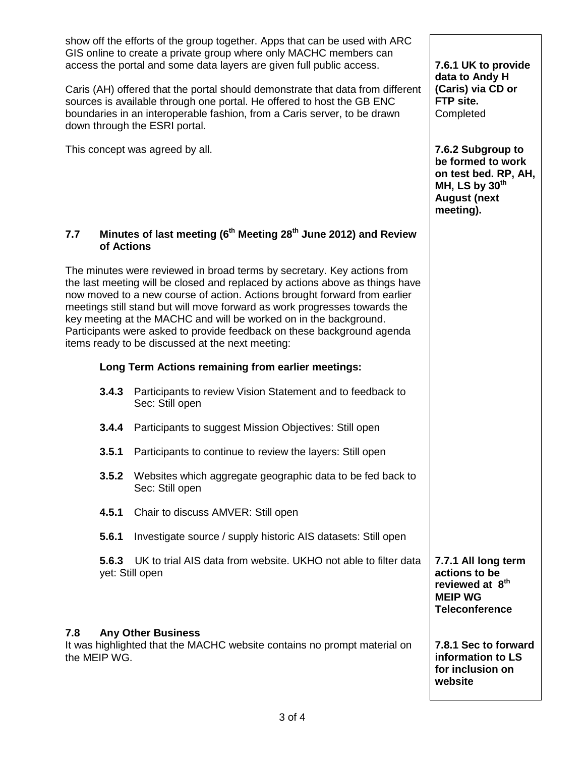| show off the efforts of the group together. Apps that can be used with ARC<br>GIS online to create a private group where only MACHC members can<br>access the portal and some data layers are given full public access.                                                                                                                                                                                                                                                                                              |                                                                                            | 7.6.1 UK to provide                                                                                                    |
|----------------------------------------------------------------------------------------------------------------------------------------------------------------------------------------------------------------------------------------------------------------------------------------------------------------------------------------------------------------------------------------------------------------------------------------------------------------------------------------------------------------------|--------------------------------------------------------------------------------------------|------------------------------------------------------------------------------------------------------------------------|
| Caris (AH) offered that the portal should demonstrate that data from different<br>sources is available through one portal. He offered to host the GB ENC<br>boundaries in an interoperable fashion, from a Caris server, to be drawn<br>down through the ESRI portal.                                                                                                                                                                                                                                                |                                                                                            | data to Andy H<br>(Caris) via CD or<br>FTP site.<br>Completed                                                          |
| This concept was agreed by all.                                                                                                                                                                                                                                                                                                                                                                                                                                                                                      |                                                                                            | 7.6.2 Subgroup to<br>be formed to work<br>on test bed. RP, AH,<br>MH, LS by $30th$<br><b>August (next</b><br>meeting). |
| Minutes of last meeting (6 <sup>th</sup> Meeting 28 <sup>th</sup> June 2012) and Review<br>7.7<br>of Actions                                                                                                                                                                                                                                                                                                                                                                                                         |                                                                                            |                                                                                                                        |
| The minutes were reviewed in broad terms by secretary. Key actions from<br>the last meeting will be closed and replaced by actions above as things have<br>now moved to a new course of action. Actions brought forward from earlier<br>meetings still stand but will move forward as work progresses towards the<br>key meeting at the MACHC and will be worked on in the background.<br>Participants were asked to provide feedback on these background agenda<br>items ready to be discussed at the next meeting: |                                                                                            |                                                                                                                        |
| Long Term Actions remaining from earlier meetings:                                                                                                                                                                                                                                                                                                                                                                                                                                                                   |                                                                                            |                                                                                                                        |
| 3.4.3                                                                                                                                                                                                                                                                                                                                                                                                                                                                                                                | Participants to review Vision Statement and to feedback to<br>Sec: Still open              |                                                                                                                        |
| 3.4.4                                                                                                                                                                                                                                                                                                                                                                                                                                                                                                                | Participants to suggest Mission Objectives: Still open                                     |                                                                                                                        |
| 3.5.1                                                                                                                                                                                                                                                                                                                                                                                                                                                                                                                | Participants to continue to review the layers: Still open                                  |                                                                                                                        |
|                                                                                                                                                                                                                                                                                                                                                                                                                                                                                                                      | <b>3.5.2</b> Websites which aggregate geographic data to be fed back to<br>Sec: Still open |                                                                                                                        |
| 4.5.1                                                                                                                                                                                                                                                                                                                                                                                                                                                                                                                | Chair to discuss AMVER: Still open                                                         |                                                                                                                        |
| 5.6.1                                                                                                                                                                                                                                                                                                                                                                                                                                                                                                                | Investigate source / supply historic AIS datasets: Still open                              |                                                                                                                        |
| 5.6.3                                                                                                                                                                                                                                                                                                                                                                                                                                                                                                                | UK to trial AIS data from website. UKHO not able to filter data<br>yet: Still open         | 7.7.1 All long term<br>actions to be<br>reviewed at 8 <sup>th</sup><br><b>MEIP WG</b><br><b>Teleconference</b>         |
| <b>Any Other Business</b><br>7.8<br>It was highlighted that the MACHC website contains no prompt material on<br>the MEIP WG.                                                                                                                                                                                                                                                                                                                                                                                         |                                                                                            | 7.8.1 Sec to forward<br>information to LS<br>for inclusion on<br>website                                               |